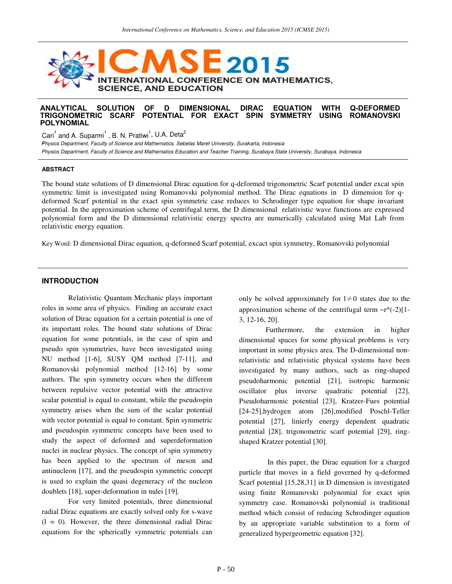

### **ANALYTICAL SOLUTION OF D DIMENSIONAL DIRAC EQUATION WITH Q-DEFORMED POTENTIAL FOR EXACT SPIN POLYNOMIAL**

Cari $^1$  and A. Suparmi $^1$  , B. N. Pratiwi<sup>1</sup>, U.A. Deta<sup>2</sup>

Physics Department, Faculty of Science and Mathematics, Sebelas Maret University, Surakarta, Indonesia <sup>2</sup> Physics Department, Faculty of Science and Mathematics Education and Teacher Training, Surabaya State University, Surabaya, Indonesia

### **ABSTRACT**

The bound state solutions of D dimensional Dirac equation for q-deformed trigonometric Scarf potential under excat spin symmetric limit is investigated using Romanovski polynomial method. The Dirac equations in D dimension for qdeformed Scarf potential in the exact spin symmetric case reduces to Schrodinger type equation for shape invariant potential. In the approximation scheme of centrifugal term, the D dimensional relativistic wave functions are expressed polynomial form and the D dimensional relativistic energy spectra are numerically calculated using Mat Lab from relativistic energy equation.

Key Word: D dimensional Dirac equation, q-deformed Scarf potential, excact spin symmetry, Romanovski polynomial

# **INTRODUCTION**

Relativistic Quantum Mechanic plays important roles in some area of physics. Finding an accurate exact solution of Dirac equation for a certain potential is one of its important roles. The bound state solutions of Dirac equation for some potentials, in the case of spin and pseudo spin symmetries, have been investigated using NU method [1-6], SUSY QM method [7-11], and Romanovski polynomial method [12-16] by some authors. The spin symmetry occurs when the different between repulsive vector potential with the attractive scalar potential is equal to constant, while the pseudospin symmetry arises when the sum of the scalar potential with vector potential is equal to constant. Spin symmetric and pseudospin symmetric concepts have been used to study the aspect of deformed and superdeformation nuclei in nuclear physics. The concept of spin symmetry has been applied to the spectrum of meson and antinucleon [17], and the pseudospin symmetric concept is used to explain the quasi degeneracy of the nucleon doublets [18], super-deformation in nulei [19].

For very limited potentials, three dimensional radial Dirac equations are exactly solved only for s-wave  $(1 = 0)$ . However, the three dimensional radial Dirac equations for the spherically symmetric potentials can only be solved approximately for  $1 \neq 0$  states due to the approximation scheme of the centrifugal term  $-r^{\wedge}(-2)[1-$ 3, 12-16, 20].

Furthermore, the extension in higher dimensional spaces for some physical problems is very important in some physics area. The D-dimensional nonrelativistic and relativistic physical systems have been investigated by many authors, such as ring-shaped pseudoharmonic potential [21], isotropic harmonic oscillator plus inverse quadratic potential [22], Pseudoharmonic potential [23], Kratzer-Fues potential [24-25],hydrogen atom [26],modified Poschl-Teller potential [27], linierly energy dependent quadratic potential [28], trigonometric scarf potential [29], ringshaped Kratzer potential [30].

 In this paper, the Dirac equation for a charged particle that moves in a field governed by q-deformed Scarf potential [15,28,31] in D dimension is investigated using finite Romanovski polynomial for exact spin symmetry case. Romanovski polynomial is traditional method which consist of reducing Schrodinger equation by an appropriate variable substitution to a form of generalized hypergeometric equation [32].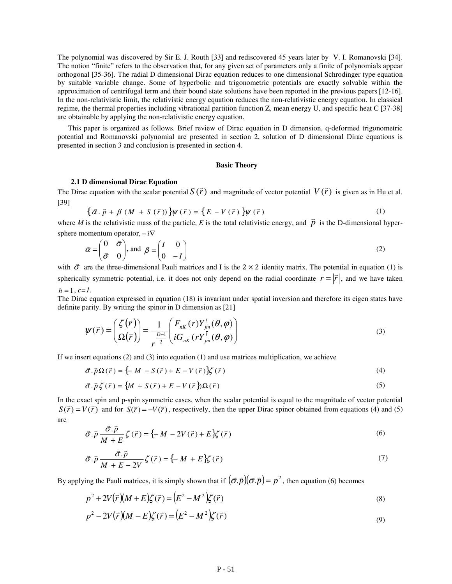The polynomial was discovered by Sir E. J. Routh [33] and rediscovered 45 years later by V. I. Romanovski [34]. The notion "finite" refers to the observation that, for any given set of parameters only a finite of polynomials appear orthogonal [35-36]. The radial D dimensional Dirac equation reduces to one dimensional Schrodinger type equation by suitable variable change. Some of hyperbolic and trigonometric potentials are exactly solvable within the approximation of centrifugal term and their bound state solutions have been reported in the previous papers[12-16]. In the non-relativistic limit, the relativistic energy equation reduces the non-relativistic energy equation. In classical regime, the thermal properties including vibrational partition function Z, mean energy U, and specific heat C [37-38] are obtainable by applying the non-relativistic energy equation.

This paper is organized as follows. Brief review of Dirac equation in D dimension, q-deformed trigonometric potential and Romanovski polynomial are presented in section 2, solution of D dimensional Dirac equations is presented in section 3 and conclusion is presented in section 4.

#### **Basic Theory**

#### **2.1 D dimensional Dirac Equation**

The Dirac equation with the scalar potential *S* (*r*) v and magnitude of vector potential  $V(\vec{r})$ v is given as in Hu et al. [39]

$$
\{\vec{\alpha}\cdot\vec{p} + \beta\left(M + S\left(\vec{r}\right)\right)\}\psi\left(\vec{r}\right) = \{E - V\left(\vec{r}\right)\}\psi\left(\vec{r}\right) \tag{1}
$$

where *M* is the relativistic mass of the particle, *E* is the total relativistic energy, and  $\vec{p}$  is the D-dimensional hypersphere momentum operator,  $-i\nabla$ 

$$
\vec{\alpha} = \begin{pmatrix} 0 & \vec{\sigma} \\ \vec{\sigma} & 0 \end{pmatrix}, \text{ and } \beta = \begin{pmatrix} I & 0 \\ 0 & -I \end{pmatrix}
$$
 (2)

with  $\vec{\sigma}$  are the three-dimensional Pauli matrices and I is the 2 × 2 identity matrix. The potential in equation (1) is spherically symmetric potential, i.e. it does not only depend on the radial coordinate  $r = |\vec{r}|$  $\overline{a}$  $= |\vec{r}|$ , and we have taken  $\hbar = 1, c=1$ .

The Dirac equation expressed in equation (18) is invariant under spatial inversion and therefore its eigen states have definite parity. By writing the spinor in D dimension as [21]

$$
\boldsymbol{\psi}(\vec{r}) = \begin{pmatrix} \zeta(\vec{r}) \\ \Omega(\vec{r}) \end{pmatrix} = \frac{1}{r^{\frac{D-1}{2}}} \begin{pmatrix} F_{nK}(r) Y_{jm}^{l}(\theta, \varphi) \\ i G_{nK}(r Y_{jm}^{l}(\theta, \varphi)) \end{pmatrix}
$$
(3)

If we insert equations (2) and (3) into equation (1) and use matrices multiplication, we achieve

$$
\vec{\sigma} \cdot \vec{p} \Omega(\vec{r}) = \{-M - S(\vec{r}) + E - V(\vec{r})\} \zeta(\vec{r})
$$
\n(4)

$$
\vec{\sigma} \cdot \vec{p} \zeta(\vec{r}) = \{ M + S(\vec{r}) + E - V(\vec{r}) \} \Omega(\vec{r}) \tag{5}
$$

In the exact spin and p-spin symmetric cases, when the scalar potential is equal to the magnitude of vector potential  $S(\vec{r})$  $S(\vec{r}) = V(\vec{r})$  and for  $S(\vec{r}) = -V(\vec{r})$ , respectively, then the upper Dirac spinor obtained from equations (4) and (5) are  $\overline{a}$ 

$$
\vec{\sigma} \cdot \vec{p} \frac{\vec{\sigma} \cdot \vec{p}}{M+E} \zeta(\vec{r}) = \{-M - 2V(\vec{r}) + E\} \zeta(\vec{r})
$$
\n(6)

$$
\vec{\sigma} \cdot \vec{p} \frac{\vec{\sigma} \cdot \vec{p}}{M + E - 2V} \zeta(\vec{r}) = \{-M + E\} \zeta(\vec{r}) \tag{7}
$$

By applying the Pauli matrices, it is simply shown that if  $(\vec{\sigma}.\vec{p}) (\vec{\sigma}.\vec{p}) = p^2$  $v = -V - (\vec{\sigma} \cdot \vec{p}) (\vec{\sigma} \cdot \vec{p}) = p^2$ , then equation (6) becomes

$$
p^2 + 2V(\bar{r})(M+E)\zeta(\bar{r}) = (E^2 - M^2)\zeta(\bar{r})
$$
\n(8)

$$
p2 - 2V(\vec{r})(M - E)\zeta(\vec{r}) = (E2 - M2)\zeta(\vec{r})
$$
\n(9)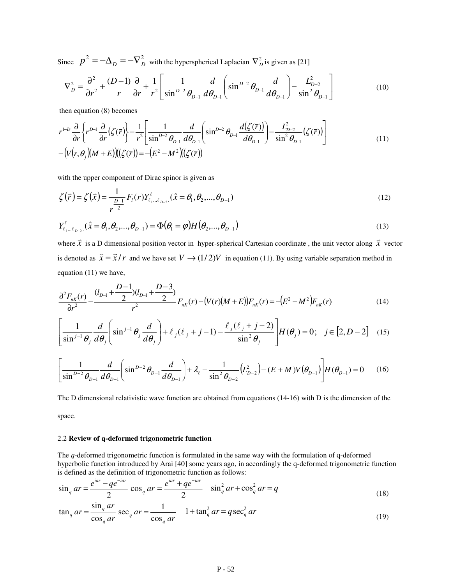Since  $p^2 = -\Delta_D = -\nabla_D^2$  with the hyperspherical Laplacian  $\nabla_D^2$  is given as [21]

$$
\nabla_{D}^{2} = \frac{\partial^{2}}{\partial r^{2}} + \frac{(D-1)}{r} \frac{\partial}{\partial r} + \frac{1}{r^{2}} \left[ \frac{1}{\sin^{D-2} \theta_{D-1}} \frac{d}{d\theta_{D-1}} \left( \sin^{D-2} \theta_{D-1} \frac{d}{d\theta_{D-1}} \right) - \frac{L_{D-2}^{2}}{\sin^{2} \theta_{D-1}} \right]
$$
(10)

then equation (8) becomes

$$
r^{1-D} \frac{\partial}{\partial r} \left\{ r^{D-1} \frac{\partial}{\partial r} (\zeta(\bar{r})) \right\} - \frac{1}{r^2} \left[ \frac{1}{\sin^{D-2} \theta_{D-1}} \frac{d}{d\theta_{D-1}} \left( \sin^{D-2} \theta_{D-1} \frac{d(\zeta(\bar{r}))}{d\theta_{D-1}} \right) - \frac{L_{D-2}^2}{\sin^2 \theta_{D-1}} (\zeta(\bar{r})) \right] - \left( V(r, \theta_j)(M+E) \right) \left( (\zeta(\bar{r})) \right) = -\left( E^2 - M^2 \right) \left( (\zeta(\bar{r})) \right)
$$
(11)

with the upper component of Dirac spinor is given as

$$
\zeta(\vec{r}) = \zeta(\vec{x}) = \frac{1}{r^{\frac{D-1}{2}}} F_i(r) Y_{\ell_1 \dots \ell_{D-2}}^{\ell} . (\hat{x} = \theta_1, \theta_2, \dots, \theta_{D-1})
$$
\n(12)

$$
Y_{\ell_1...\ell_{D-2}}^{\ell} \quad (\hat{x} = \theta_1, \theta_2, ..., \theta_{D-1}) = \Phi(\theta_1 = \varphi) H(\theta_2, ..., \theta_{D-1})
$$
\n(13)

where *x* is a D dimensional position vector in hyper-spherical Cartesian coordinate, the unit vector along  $\vec{x}$  vector is denoted as  $\hat{x} = \vec{x}/r$  $\sim$  $=\vec{x}/r$  and we have set  $V \rightarrow (1/2)V$  in equation (11). By using variable separation method in equation (11) we have,

$$
\frac{\partial^2 F_{nK}(r)}{\partial r^2} - \frac{(l_{D-1} + \frac{D-1}{2})(l_{D-1} + \frac{D-3}{2})}{r^2} F_{nK}(r) - (V(r)(M+E))F_{nK}(r) = -(E^2 - M^2)F_{nK}(r)
$$
(14)

$$
\left[\frac{1}{\sin^{j-1}\theta_j} \frac{d}{d\theta_j} \left(\sin^{j-1}\theta_j \frac{d}{d\theta_j}\right) + \ell_j(\ell_j + j - 1) - \frac{\ell_j(\ell_j + j - 2)}{\sin^2\theta_j}\right] H(\theta_j) = 0; \quad j \in [2, D - 2] \quad (15)
$$

$$
\left[\frac{1}{\sin^{D-2}\theta_{D-1}}\frac{d}{d\theta_{D-1}}\left(\sin^{D-2}\theta_{D-1}\frac{d}{d\theta_{D-1}}\right) + \lambda_{\ell} - \frac{1}{\sin^{2}\theta_{D-2}}\left(L_{D-2}^{2}\right) - (E+M)V(\theta_{D-1})\right]H(\theta_{D-1}) = 0 \quad (16)
$$

The D dimensional relativistic wave function are obtained from equations (14-16) with D is the dimension of the space.

## 2.2 **Review of q-deformed trigonometric function**

The *q*-deformed trigonometric function is formulated in the same way with the formulation of q-deformed hyperbolic function introduced by Arai [40] some years ago, in accordingly the q-deformed trigonometric function is defined as the definition of trigonometric function as follows:

$$
\sin_q ar = \frac{e^{iar} - qe^{-iar}}{2} \cos_q ar = \frac{e^{iar} + qe^{-iar}}{2} \quad \sin_q^2 ar + \cos_q^2 ar = q \tag{18}
$$

$$
\tan_q ar = \frac{\sin_q ar}{\cos_q ar} \sec_q ar = \frac{1}{\cos_q ar} \quad 1 + \tan_q^2 ar = q \sec_q^2 ar \tag{19}
$$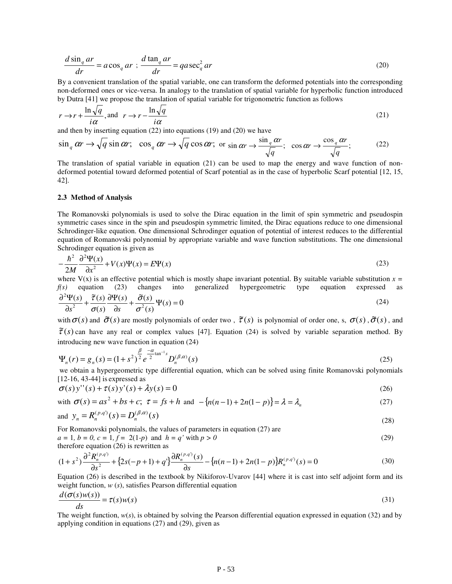$$
\frac{d \sin_q ar}{dr} = a \cos_q ar \; ; \; \frac{d \tan_q ar}{dr} = q a \sec_q^2 ar \tag{20}
$$

By a convenient translation of the spatial variable, one can transform the deformed potentials into the corresponding non-deformed ones or vice-versa. In analogy to the translation of spatial variable for hyperbolic function introduced by Dutra [41] we propose the translation of spatial variable for trigonometric function as follows

$$
r \to r + \frac{\ln \sqrt{q}}{i\alpha}, \text{ and } \ r \to r - \frac{\ln \sqrt{q}}{i\alpha} \tag{21}
$$

and then by inserting equation (22) into equations (19) and (20) we have

$$
\sin_q \alpha r \to \sqrt{q} \sin \alpha r; \quad \cos_q \alpha r \to \sqrt{q} \cos \alpha r; \text{ or } \sin \alpha r \to \frac{\sin_q \alpha r}{\sqrt{q}}; \quad \cos \alpha r \to \frac{\cos_q \alpha r}{\sqrt{q}}; \tag{22}
$$

The translation of spatial variable in equation (21) can be used to map the energy and wave function of nondeformed potential toward deformed potential of Scarf potential as in the case of hyperbolic Scarf potential [12, 15, 42].

### **2.3 Method of Analysis**

The Romanovski polynomials is used to solve the Dirac equation in the limit of spin symmetric and pseudospin symmetric cases since in the spin and pseudospin symmetric limited, the Dirac equations reduce to one dimensional Schrodinger-like equation. One dimensional Schrodinger equation of potential of interest reduces to the differential equation of Romanovski polynomial by appropriate variable and wave function substitutions. The one dimensional Schrodinger equation is given as

$$
-\frac{\hbar^2}{2M}\frac{\partial^2 \Psi(x)}{\partial x^2} + V(x)\Psi(x) = E\Psi(x)
$$
\n(23)

 $\frac{2M}{x}$   $\alpha$   $\alpha$  is an effective potential which is mostly shape invariant potential. By suitable variable substitution  $x =$ *f(s)* equation (23) changes into generalized hypergeometric type equation expressed as

$$
\frac{\partial^2 \Psi(s)}{\partial s^2} + \frac{\tilde{\tau}(s)}{\sigma(s)} \frac{\partial \Psi(s)}{\partial s} + \frac{\tilde{\sigma}(s)}{\sigma^2(s)} \Psi(s) = 0
$$
\n(24)

with  $\sigma(s)$  and  $\tilde{\sigma}(s)$  are mostly polynomials of order two,  $\tilde{\tau}(s)$  is polynomial of order one, s,  $\sigma(s)$ ,  $\tilde{\sigma}(s)$ , and  $\tilde{\tau}(s)$  can have any real or complex values [47]. Equation (24) is solved by variable separation method. By introducing new wave function in equation (24)

$$
\Psi_n(r) = g_n(s) = (1 + s^2)^{\frac{\beta}{2}} e^{-\frac{\alpha}{2} \tan^{-1}s} D_n^{(\beta, \alpha)}(s)
$$
\n(25)

 we obtain a hypergeometric type differential equation, which can be solved using finite Romanovski polynomials [12-16, 43-44] is expressed as

$$
\sigma(s)y''(s) + \tau(s)y'(s) + \lambda y(s) = 0
$$
\n(26)

with 
$$
\sigma(s) = as^2 + bs + c
$$
;  $\tau = fs + h$  and  $-\{n(n-1) + 2n(1-p)\} = \lambda = \lambda_n$  (27)

and 
$$
y_n = R_n^{(p,q)}(s) = D_n^{(\beta,\alpha)}(s)
$$
 (28)

For Romanovski polynomials, the values of parameters in equation (27) are

 $a = 1, b = 0, c = 1, f = 2(1-p) \text{ and } h = q' \text{ with } p > 0$  (29) therefore equation (26) is rewritten as

$$
(1+s^2)\frac{\partial^2 R_n^{(p,q)}}{\partial s^2} + \{2s(-p+1)+q'\}\frac{\partial R_n^{(p,q)}(s)}{\partial s} - \{n(n-1)+2n(1-p)\}R_n^{(p,q)}(s) = 0
$$
\n(30)

Equation (26) is described in the textbook by Nikiforov-Uvarov [44] where it is cast into self adjoint form and its weight function, *w* (*s*), satisfies Pearson differential equation

$$
\frac{d(\sigma(s)w(s))}{ds} = \tau(s)w(s)
$$
\n(31)

The weight function, *w*(*s*), is obtained by solving the Pearson differential equation expressed in equation (32) and by applying condition in equations (27) and (29), given as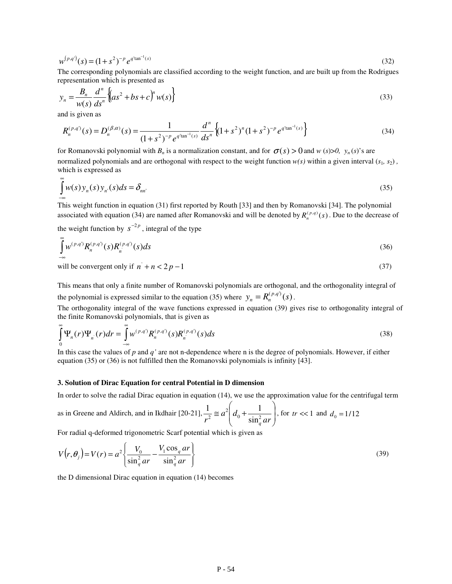$$
w^{(p,q')}(s) = (1+s^2)^{-p} e^{q^{\text{tan}^{-1}(s)}}
$$
\n(32)

The corresponding polynomials are classified according to the weight function, and are built up from the Rodrigues representation which is presented as

$$
y_n = \frac{B_n}{w(s)} \frac{d^n}{ds^n} \left\{ (as^2 + bs + c)^n w(s) \right\}
$$
 (33)

and is given as

$$
R_n^{(p,q)}(s) = D_n^{(\beta,\alpha)}(s) = \frac{1}{(1+s^2)^{-p} e^{q^{\text{tan}^{-1}}(s)}} \frac{d^n}{ds^n} \left\{ (1+s^2)^n (1+s^2)^{-p} e^{q^{\text{tan}^{-1}}(s)} \right\}
$$
(34)

for Romanovski polynomial with  $B_n$  is a normalization constant, and for  $\sigma(s) > 0$  and  $w(s) > 0$ ,  $y_n(s)$ 's are normalized polynomials and are orthogonal with respect to the weight function  $w(s)$  within a given interval  $(s_1, s_2)$ , which is expressed as

$$
\int_{-\infty}^{\infty} w(s) y_n(s) y_n(s) ds = \delta_{nn'} \tag{35}
$$

This weight function in equation (31) first reported by Routh [33] and then by Romanovski [34]. The polynomial associated with equation (34) are named after Romanovski and will be denoted by  $R_n^{(p,q)}(s)$ . Due to the decrease of

the weight function by  $s^{-2p}$ , integral of the type

$$
\int_{-\infty}^{\infty} w^{(p,q)} R_n^{(p,q)}(s) R_n^{(p,q)}(s) ds \tag{36}
$$

will be convergent only if  $n^{2} + n < 2p - 1$  (37)

This means that only a finite number of Romanovski polynomials are orthogonal, and the orthogonality integral of the polynomial is expressed similar to the equation (35) where  $y_n = R_n^{(p,q)}(s)$ .

The orthogonality integral of the wave functions expressed in equation (39) gives rise to orthogonality integral of the finite Romanovski polynomials, that is given as

$$
\int_{0}^{\infty} \Psi_{n}(r)\Psi_{n}(r)dr = \int_{-\infty}^{\infty} w^{(p,q)}R_{n}^{(p,q)}(s)R_{n}^{(p,q)}(s)ds
$$
\n(38)

In this case the values of *p* and *q'* are not n-dependence where n is the degree of polynomials. However, if either equation (35) or (36) is not fulfilled then the Romanovski polynomials is infinity [43].

### **3. Solution of Dirac Equation for central Potential in D dimension**

In order to solve the radial Dirac equation in equation (14), we use the approximation value for the centrifugal term

as in Greene and Aldirch, and in Ikdhair [20-21], 
$$
\frac{1}{r^2} \approx a^2 \left( d_0 + \frac{1}{\sin_q^2 ar} \right)
$$
, for  $tr \ll 1$  and  $d_0 = 1/12$ 

For radial q-deformed trigonometric Scarf potential which is given as

$$
V(r, \theta_j) = V(r) = a^2 \left\{ \frac{V_0}{\sin_q^2 ar} - \frac{V_1 \cos_q ar}{\sin_q^2 ar} \right\}
$$
(39)

the D dimensional Dirac equation in equation (14) becomes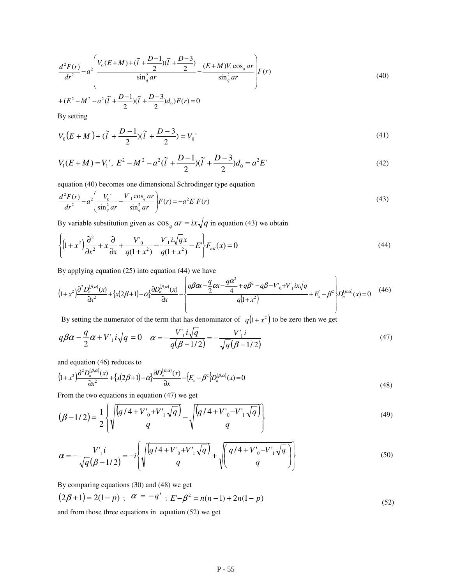$$
\frac{d^2F(r)}{dr^2} - a^2 \left( \frac{V_0(E+M) + (\tilde{l} + \frac{D-1}{2})(\tilde{l} + \frac{D-3}{2})}{\sin_q^2 ar} - \frac{(E+M)V_1 \cos_q ar}{\sin_q^2 ar} \right) F(r) \tag{40}
$$

$$
+(E^2 - M^2 - a^2(\tilde{l} + \frac{D-1}{2})(\tilde{l} + \frac{D-3}{2})d_0)F(r) = 0
$$

By setting

$$
V_0(E+M) + (\tilde{l} + \frac{D-1}{2})(\tilde{l} + \frac{D-3}{2}) = V_0
$$
\n(41)

$$
V_1(E+M) = V_1', \ E^2 - M^2 - a^2(\tilde{l} + \frac{D-1}{2})(\tilde{l} + \frac{D-3}{2})d_0 = a^2E'
$$
 (42)

equation (40) becomes one dimensional Schrodinger type equation

$$
\frac{d^2F(r)}{dr^2} - a^2 \left( \frac{V_0'}{\sin_q^2 ar} - \frac{V_1' \cos_q ar}{\sin_q^2 ar} \right) F(r) = -a^2 E' F(r)
$$
\n(43)

By variable substitution given as  $\cos_q ar = ix\sqrt{q}$  in equation (43) we obtain

$$
\left\{ (1+x^2)\frac{\partial^2}{\partial x^2} + x\frac{\partial}{\partial x} + \frac{V'_0}{q(1+x^2)} - \frac{V'_1 i \sqrt{q} x}{q(1+x^2)} - E' \right\} F_{n\kappa}(x) = 0 \tag{44}
$$

By applying equation  $(25)$  into equation  $(44)$  we have

$$
(1+x^2)\frac{\partial^2 D_n^{(\beta,\alpha)}(x)}{\partial x^2} + \left\{x(2\beta+1) - \alpha\right\}\frac{\partial D_n^{(\beta,\alpha)}(x)}{\partial x} - \left\{\frac{q\beta\alpha x - \frac{q}{2}\alpha x - \frac{q\alpha^2}{4} + q\beta^2 - q\beta - V_0 + V_1ix\sqrt{q}}{q(1+x^2)} + E_s - \beta^2\right\} D_n^{(\beta,\alpha)}(x) = 0\tag{46}
$$

By setting the numerator of the term that has denominator of  $q(1+x^2)$  to be zero then we get

$$
q\beta\alpha - \frac{q}{2}\alpha + V_1 i \sqrt{q} = 0 \quad \alpha = -\frac{V_1 i \sqrt{q}}{q(\beta - 1/2)} = -\frac{V_1 i}{\sqrt{q}(\beta - 1/2)}
$$
(47)

and equation (46) reduces to

$$
\left(1+x^2\right)\frac{\partial^2 D_n^{(\beta,\alpha)}(x)}{\partial x^2} + \left\{x(2\beta+1)-\alpha\right\}\frac{\partial D_n^{(\beta,\alpha)}(x)}{\partial x} - \left\{E_s - \beta^2\right\} D_n^{(\beta,\alpha)}(x) = 0\tag{48}
$$

From the two equations in equation  $(47)$  we get

$$
(\beta - 1/2) = \frac{1}{2} \left\{ \sqrt{\frac{(q/4 + V'_0 + V'_1 \sqrt{q})}{q}} - \sqrt{\frac{(q/4 + V'_0 - V'_1 \sqrt{q})}{q}} \right\}
$$
(49)

$$
\alpha = -\frac{V_1 i}{\sqrt{q(\beta - 1/2)}} = -i \left\{ \sqrt{\frac{(q/4 + V_0 + V_1 \sqrt{q})}{q}} + \sqrt{\left(\frac{q/4 + V_0 - V_1 \sqrt{q}}{q}\right)} \right\}
$$
(50)

By comparing equations (30) and (48) we get

$$
(2\beta + 1) = 2(1 - p) ; \alpha = -q' ; E - \beta^2 = n(n - 1) + 2n(1 - p)
$$
\n(52)

and from those three equations in equation  $(52)$  we get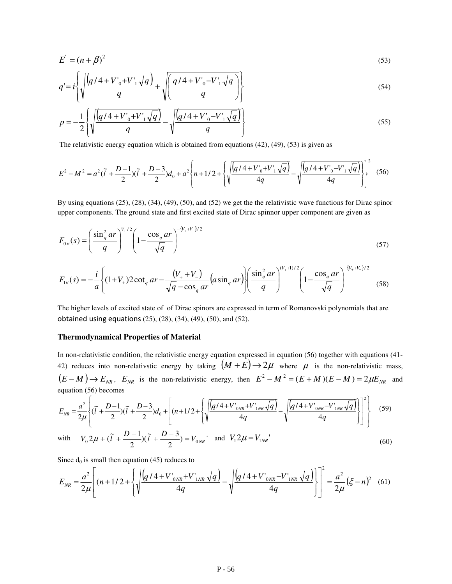$$
E' = (n + \beta)^2
$$
\n
$$
q' = i \left\{ \sqrt{\frac{(q/4 + V_0' + V_1' \sqrt{q})}{q}} + \sqrt{\frac{q/4 + V_0' - V_1' \sqrt{q}}{q}} \right\}
$$
\n(53)

$$
q = l \left\{ \sqrt{\frac{q}{q}} + \sqrt{\frac{q}{q}} \right\} \tag{54}
$$
\n
$$
q = -\frac{1}{q} \sqrt{\frac{q}{q}} \sqrt{q + V'_{0} + V'_{1} \sqrt{q}} \sqrt{\frac{q}{q}} \sqrt{\frac{q}{q} + V'_{0} - V'_{1} \sqrt{q}} \sqrt{\frac{q}{q}} \tag{55}
$$

$$
p = -\frac{1}{2} \left\{ \sqrt{\frac{(q/4 + V_0' + V_1' \sqrt{q})}{q}} - \sqrt{\frac{(q/4 + V_0' - V_1' \sqrt{q})}{q}} \right\}
$$
(55)

The relativistic energy equation which is obtained from equations  $(42)$ ,  $(49)$ ,  $(53)$  is given as

$$
E^{2} - M^{2} = a^{2}(\tilde{l} + \frac{D-1}{2})(\tilde{l} + \frac{D-3}{2})d_{0} + a^{2} \left\{ n + 1/2 + \left\{ \sqrt{\frac{(q/4 + V_{0}^{\prime} + V_{1}^{\prime}\sqrt{q})}{4q}} - \sqrt{\frac{(q/4 + V_{0}^{\prime} - V_{1}^{\prime}\sqrt{q})}{4q}} \right] \right\}^{2}
$$
(56)

By using equations (25), (28), (34), (49), (50), and (52) we get the the relativistic wave functions for Dirac spinor upper components. The ground state and first excited state of Dirac spinnor upper component are given as

$$
F_{0\kappa}(s) = \left(\frac{\sin_q^2 ar}{q}\right)^{V_{+}/2} \left(1 - \frac{\cos_q ar}{\sqrt{q}}\right)^{-\{V_{+}+V_{-}\}/2}
$$
(57)

$$
F_{1\kappa}(s) = -\frac{i}{a} \left\{ (1+V_+) 2 \cot_q ar - \frac{(V_+ + V_-)}{\sqrt{q} - \cos_q ar} \left( a \sin_q ar \right) \right\} \left( \frac{\sin_q^2 ar}{q} \right)^{(V_+ + 1)/2} \left( 1 - \frac{\cos_q ar}{\sqrt{q}} \right)^{-(V_+ + V_-)/2} \tag{58}
$$

The higher levels of excited state of of Dirac spinors are expressed in term of Romanovski polynomials that are obtained using equations (25), (28), (34), (49), (50), and (52).

### **Thermodynamical Properties of Material**

In non-relativistic condition, the relativistic energy equation expressed in equation (56) together with equations (41- 42) reduces into non-relativstic energy by taking  $(M + E) \rightarrow 2\mu$  where  $\mu$  is the non-relativistic mass,  $(E-M) \rightarrow E_{NR}$ ,  $E_{NR}$  is the non-relativistic energy, then  $E^2 - M^2 = (E+M)(E-M) = 2\mu E_{NR}$  and equation (56) becomes

$$
E_{NR} = \frac{a^2}{2\mu} \left\{ (\tilde{l} + \frac{D-1}{2})(\tilde{l} + \frac{D-3}{2})d_0 + \left[ (n+1/2 + \left\{ \sqrt{\frac{(q/4 + V'_{0NR} + V'_{1NR}\sqrt{q})}{4q}} - \sqrt{\frac{(q/4 + V'_{0NR} - V'_{1NR}\sqrt{q})}{4q}} \right\} \right]^2 \right\}
$$
(59)

with 
$$
V_0 2\mu + (\tilde{l} + \frac{D-1}{2})(\tilde{l} + \frac{D-3}{2}) = V_{0NR}
$$
 and  $V_1 2\mu = V_{1NR}$  (60)

Since  $d_0$  is small then equation (45) reduces to

$$
E_{NR} = \frac{a^2}{2\mu} \left[ (n+1/2 + \left\{ \sqrt{\frac{(q/4 + V'_{0NR} + V'_{1NR}\sqrt{q})}{4q}} - \sqrt{\frac{(q/4 + V'_{0NR} - V'_{1NR}\sqrt{q})}{4q}} \right\} \right]^2 = \frac{a^2}{2\mu} (\xi - n)^2 \quad (61)
$$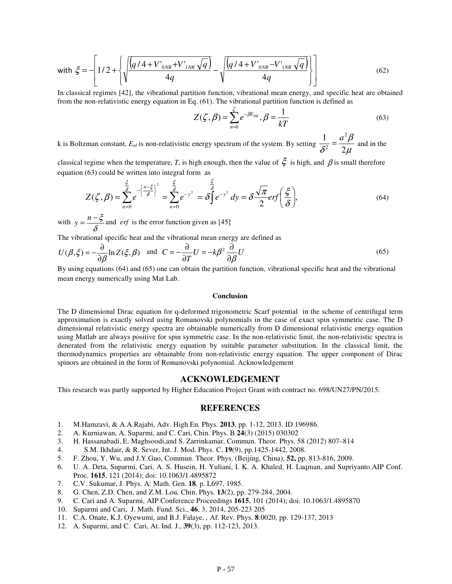with 
$$
\xi = -\left[1/2 + \left\{\sqrt{\frac{(q/4 + V'_{0NR} + V'_{1NR}\sqrt{q})}{4q}} - \sqrt{\frac{(q/4 + V'_{0NR} - V'_{1NR}\sqrt{q})}{4q}}\right\}\right]
$$
 (62)

In classical regimes [42], the vibrational partition function, vibrational mean energy, and specific heat are obtained from the non-relativistic energy equation in Eq. (61). The vibrational partition function is defined as

$$
Z(\zeta, \beta) = \sum_{n=0}^{\zeta} e^{-\beta E_{NR}}, \beta = \frac{1}{kT}
$$
 (63)

k is Boltzman constant, *Enl* is non-relativistic energy spectrum of the system. By setting  $\mu$ β  $\delta^2$  2 1  $a^2$ 2  $=\frac{a^2\beta}{2}$  and in the

classical regime when the temperature, *T*, is high enough, then the value of  $\zeta$  is high, and  $\beta$  is small therefore equation (63) could be written into integral form as

$$
Z(\zeta,\beta) = \sum_{n=0}^{\frac{\xi}{\delta}} e^{-\left\{\frac{n-\xi}{\delta}\right\}^2} = \sum_{n=0}^{\frac{\xi}{\delta}} e^{-y^2} = \delta \int_0^{\frac{\xi}{\delta}} e^{-y^2} dy = \delta \frac{\sqrt{\pi}}{2} erf\left(\frac{\xi}{\delta}\right),\tag{64}
$$

with  $y = \frac{h}{\delta}$  $y = \frac{n - \xi}{g}$  and *erf* is the error function given as [45]

The vibrational specific heat and the vibrational mean energy are defined as

$$
U(\beta, \xi) = -\frac{\partial}{\partial \beta} \ln Z(\xi, \beta) \quad \text{and} \quad C = -\frac{\partial}{\partial T} U = -k\beta^2 \frac{\partial}{\partial \beta} U \tag{65}
$$

By using equations (64) and (65) one can obtain the partition function, vibrational specific heat and the vibrational mean energy numerically using Mat Lab.

#### **Conclusion**

The D dimensional Dirac equation for q-deformed trigonometric Scarf potential in the scheme of centrifugal term approximation is exactly solved using Romanovski polynomials in the case of exact spin symmetric case. The D dimensional relativistic energy spectra are obtainable numerically from D dimensional relativistic energy equation using Matlab are always positive for spin symmetric case. In the non-relativistic limit, the non-relativistic spectra is denerated from the relativistic energy equation by suitable parameter substitution. In the classical limit, the thermodynamics properties are obtainable from non-relativistic energy equation. The upper component of Dirac spinors are obtained in the form of Romanovski polynomial. Acknowledgement

# **ACKNOWLEDGEMENT**

This research was partly supported by Higher Education Project Grant with contract no. 698/UN27/PN/2015.

### **REFERENCES**

- 1. M.Hamzavi, & A.A.Rajabi, Adv. High En*.* Phys. **2013**, pp. 1-12, 2013. ID 196986.
- 2. A. Kurniawan, A. Suparmi, and C. Cari, Chin. Phys. B **24**(3) (2015) 030302
- 3. H. Hassanabadi, E. Maghsoodi,and S. Zarrinkamar, Commun. Theor. Phys. 58 (2012) 807–814
- 4. S.M. Ikhdair, & R. Sever, Int. J. Mod. Phys. C, **19**(9), pp.1425-1442, 2008.
- 5. F. Zhou, Y. Wu, and J.Y.Guo, Commun. Theor. Phys. (Beijing, China), **52,** pp. 813-816, 2009.
- 6. U. A. Deta, Suparmi, Cari, A. S. Husein, H. Yuliani, I. K. A. Khaled, H. Luqman, and Supriyanto.AIP Conf. Proc. **1615**, 121 (2014); doi: 10.1063/1.4895872
- 7. C.V. Sukumar, J. Phys. A: Math. Gen*.* **18***,* p. L697, 1985.
- 8. G. Chen, Z.D. Chen, and Z.M. Lou*,* Chin. Phys*.* **13**(2), pp. 279-284, 2004.
- 9. C. Cari and A. Suparmi, AIP Conference Proceedings **1615**, 101 (2014); doi: 10.1063/1.4895870
- 10. Suparmi and Cari, J. Math. Fund. Sci., **46**, 3, 2014, 205-223 205
- 11. C.A. Onate, K.J. Oyewumi, and B.J. Falaye, *,* Af. Rev. Phys. **8**:0020, pp. 129-137, 2013
- 12. A. Suparmi, and C. Cari, At. Ind. J., **39**(3), pp. 112-123, 2013.